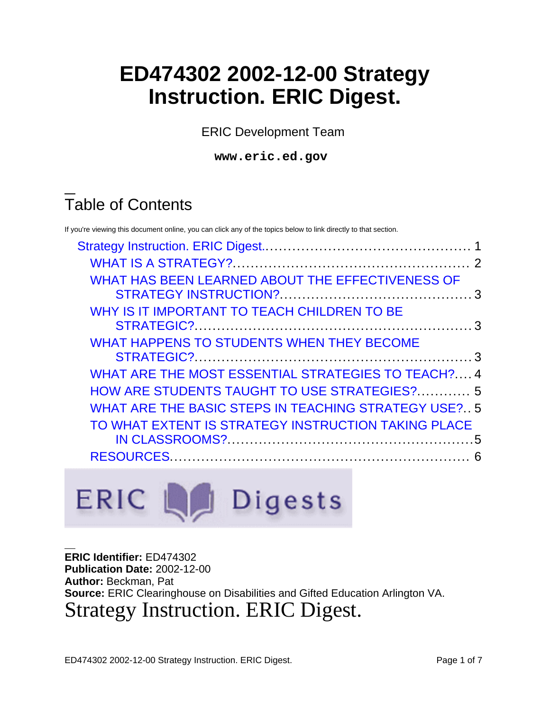# **ED474302 2002-12-00 Strategy Instruction. ERIC Digest.**

ERIC Development Team

**www.eric.ed.gov**

# Table of Contents

If you're viewing this document online, you can click any of the topics below to link directly to that section. [Strategy Instruction. ERIC Digest.](#page-0-0).............................................. 1 [WHAT IS A STRATEGY?](#page-1-0)..................................................... 2 [WHAT HAS BEEN LEARNED ABOUT THE EFFECTIVENESS OF](#page-2-0) [STRATEGY INSTRUCTION?](#page-2-0)........................................... 3 [WHY IS IT IMPORTANT TO TEACH CHILDREN TO BE](#page-2-1) [STRATEGIC?.](#page-2-1)............................................................. 3 [WHAT HAPPENS TO STUDENTS WHEN THEY BECOME](#page-2-2) [STRATEGIC?.](#page-2-2)............................................................. 3 [WHAT ARE THE MOST ESSENTIAL STRATEGIES TO TEACH?](#page-3-0).... 4 [HOW ARE STUDENTS TAUGHT TO USE STRATEGIES?](#page-4-0)............ 5 [WHAT ARE THE BASIC STEPS IN TEACHING STRATEGY USE?.](#page-4-1). 5 [TO WHAT EXTENT IS STRATEGY INSTRUCTION TAKING PLACE](#page-4-2) [IN CLASSROOMS?](#page-4-2).......................................................5 [RESOURCES](#page-5-0)................................................................... 6



<span id="page-0-0"></span>**ERIC Identifier:** ED474302 **Publication Date:** 2002-12-00 **Author:** Beckman, Pat **Source:** ERIC Clearinghouse on Disabilities and Gifted Education Arlington VA. Strategy Instruction. ERIC Digest.

ED474302 2002-12-00 Strategy Instruction. ERIC Digest. Page 1 of 7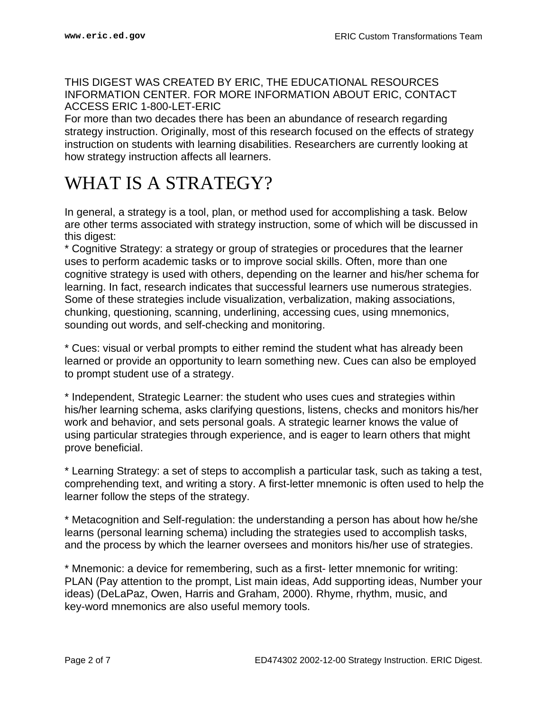#### THIS DIGEST WAS CREATED BY ERIC, THE EDUCATIONAL RESOURCES INFORMATION CENTER. FOR MORE INFORMATION ABOUT ERIC, CONTACT ACCESS ERIC 1-800-LET-ERIC

For more than two decades there has been an abundance of research regarding strategy instruction. Originally, most of this research focused on the effects of strategy instruction on students with learning disabilities. Researchers are currently looking at how strategy instruction affects all learners.

## <span id="page-1-0"></span>WHAT IS A STRATEGY?

In general, a strategy is a tool, plan, or method used for accomplishing a task. Below are other terms associated with strategy instruction, some of which will be discussed in this digest:

\* Cognitive Strategy: a strategy or group of strategies or procedures that the learner uses to perform academic tasks or to improve social skills. Often, more than one cognitive strategy is used with others, depending on the learner and his/her schema for learning. In fact, research indicates that successful learners use numerous strategies. Some of these strategies include visualization, verbalization, making associations, chunking, questioning, scanning, underlining, accessing cues, using mnemonics, sounding out words, and self-checking and monitoring.

\* Cues: visual or verbal prompts to either remind the student what has already been learned or provide an opportunity to learn something new. Cues can also be employed to prompt student use of a strategy.

\* Independent, Strategic Learner: the student who uses cues and strategies within his/her learning schema, asks clarifying questions, listens, checks and monitors his/her work and behavior, and sets personal goals. A strategic learner knows the value of using particular strategies through experience, and is eager to learn others that might prove beneficial.

\* Learning Strategy: a set of steps to accomplish a particular task, such as taking a test, comprehending text, and writing a story. A first-letter mnemonic is often used to help the learner follow the steps of the strategy.

\* Metacognition and Self-regulation: the understanding a person has about how he/she learns (personal learning schema) including the strategies used to accomplish tasks, and the process by which the learner oversees and monitors his/her use of strategies.

\* Mnemonic: a device for remembering, such as a first- letter mnemonic for writing: PLAN (Pay attention to the prompt, List main ideas, Add supporting ideas, Number your ideas) (DeLaPaz, Owen, Harris and Graham, 2000). Rhyme, rhythm, music, and key-word mnemonics are also useful memory tools.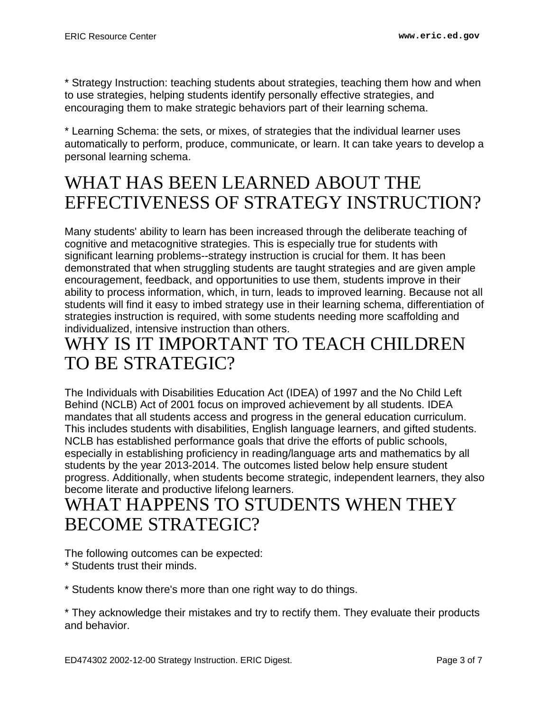\* Strategy Instruction: teaching students about strategies, teaching them how and when to use strategies, helping students identify personally effective strategies, and encouraging them to make strategic behaviors part of their learning schema.

\* Learning Schema: the sets, or mixes, of strategies that the individual learner uses automatically to perform, produce, communicate, or learn. It can take years to develop a personal learning schema.

## <span id="page-2-0"></span>WHAT HAS BEEN LEARNED ABOUT THE EFFECTIVENESS OF STRATEGY INSTRUCTION?

Many students' ability to learn has been increased through the deliberate teaching of cognitive and metacognitive strategies. This is especially true for students with significant learning problems--strategy instruction is crucial for them. It has been demonstrated that when struggling students are taught strategies and are given ample encouragement, feedback, and opportunities to use them, students improve in their ability to process information, which, in turn, leads to improved learning. Because not all students will find it easy to imbed strategy use in their learning schema, differentiation of strategies instruction is required, with some students needing more scaffolding and individualized, intensive instruction than others.

## <span id="page-2-1"></span>WHY IS IT IMPORTANT TO TEACH CHILDREN TO BE STRATEGIC?

The Individuals with Disabilities Education Act (IDEA) of 1997 and the No Child Left Behind (NCLB) Act of 2001 focus on improved achievement by all students. IDEA mandates that all students access and progress in the general education curriculum. This includes students with disabilities, English language learners, and gifted students. NCLB has established performance goals that drive the efforts of public schools, especially in establishing proficiency in reading/language arts and mathematics by all students by the year 2013-2014. The outcomes listed below help ensure student progress. Additionally, when students become strategic, independent learners, they also become literate and productive lifelong learners.

#### <span id="page-2-2"></span>WHAT HAPPENS TO STUDENTS WHEN THEY BECOME STRATEGIC?

The following outcomes can be expected:

\* Students trust their minds.

\* Students know there's more than one right way to do things.

\* They acknowledge their mistakes and try to rectify them. They evaluate their products and behavior.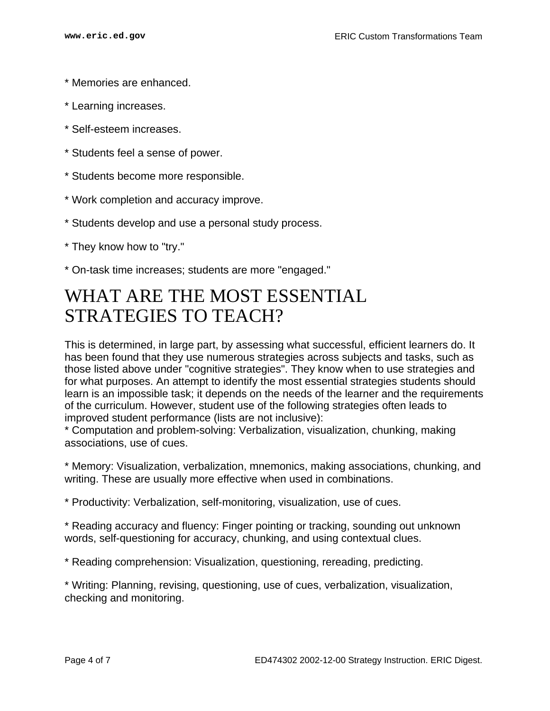- \* Memories are enhanced.
- \* Learning increases.
- \* Self-esteem increases.
- \* Students feel a sense of power.
- \* Students become more responsible.
- \* Work completion and accuracy improve.
- \* Students develop and use a personal study process.
- \* They know how to "try."
- \* On-task time increases; students are more "engaged."

#### <span id="page-3-0"></span>WHAT ARE THE MOST ESSENTIAL STRATEGIES TO TEACH?

This is determined, in large part, by assessing what successful, efficient learners do. It has been found that they use numerous strategies across subjects and tasks, such as those listed above under "cognitive strategies". They know when to use strategies and for what purposes. An attempt to identify the most essential strategies students should learn is an impossible task; it depends on the needs of the learner and the requirements of the curriculum. However, student use of the following strategies often leads to improved student performance (lists are not inclusive):

\* Computation and problem-solving: Verbalization, visualization, chunking, making associations, use of cues.

\* Memory: Visualization, verbalization, mnemonics, making associations, chunking, and writing. These are usually more effective when used in combinations.

\* Productivity: Verbalization, self-monitoring, visualization, use of cues.

\* Reading accuracy and fluency: Finger pointing or tracking, sounding out unknown words, self-questioning for accuracy, chunking, and using contextual clues.

\* Reading comprehension: Visualization, questioning, rereading, predicting.

\* Writing: Planning, revising, questioning, use of cues, verbalization, visualization, checking and monitoring.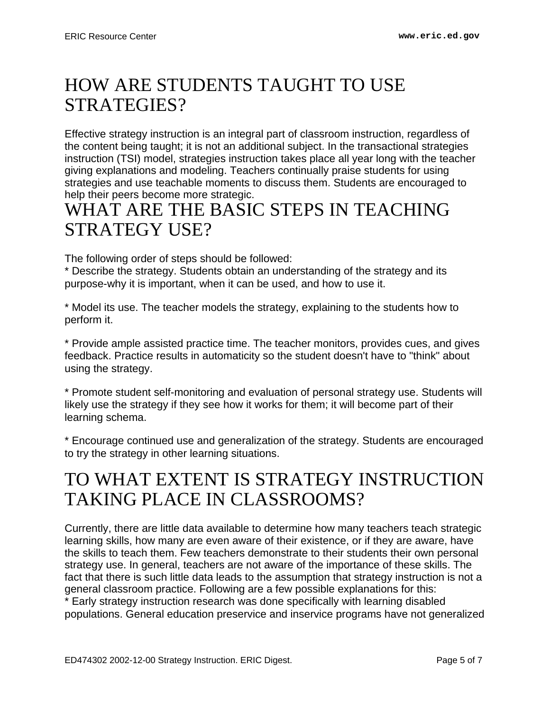## <span id="page-4-0"></span>HOW ARE STUDENTS TAUGHT TO USE STRATEGIES?

Effective strategy instruction is an integral part of classroom instruction, regardless of the content being taught; it is not an additional subject. In the transactional strategies instruction (TSI) model, strategies instruction takes place all year long with the teacher giving explanations and modeling. Teachers continually praise students for using strategies and use teachable moments to discuss them. Students are encouraged to help their peers become more strategic.

### <span id="page-4-1"></span>WHAT ARE THE BASIC STEPS IN TEACHING STRATEGY USE?

The following order of steps should be followed:

\* Describe the strategy. Students obtain an understanding of the strategy and its purpose-why it is important, when it can be used, and how to use it.

\* Model its use. The teacher models the strategy, explaining to the students how to perform it.

\* Provide ample assisted practice time. The teacher monitors, provides cues, and gives feedback. Practice results in automaticity so the student doesn't have to "think" about using the strategy.

\* Promote student self-monitoring and evaluation of personal strategy use. Students will likely use the strategy if they see how it works for them; it will become part of their learning schema.

\* Encourage continued use and generalization of the strategy. Students are encouraged to try the strategy in other learning situations.

## <span id="page-4-2"></span>TO WHAT EXTENT IS STRATEGY INSTRUCTION TAKING PLACE IN CLASSROOMS?

Currently, there are little data available to determine how many teachers teach strategic learning skills, how many are even aware of their existence, or if they are aware, have the skills to teach them. Few teachers demonstrate to their students their own personal strategy use. In general, teachers are not aware of the importance of these skills. The fact that there is such little data leads to the assumption that strategy instruction is not a general classroom practice. Following are a few possible explanations for this: \* Early strategy instruction research was done specifically with learning disabled populations. General education preservice and inservice programs have not generalized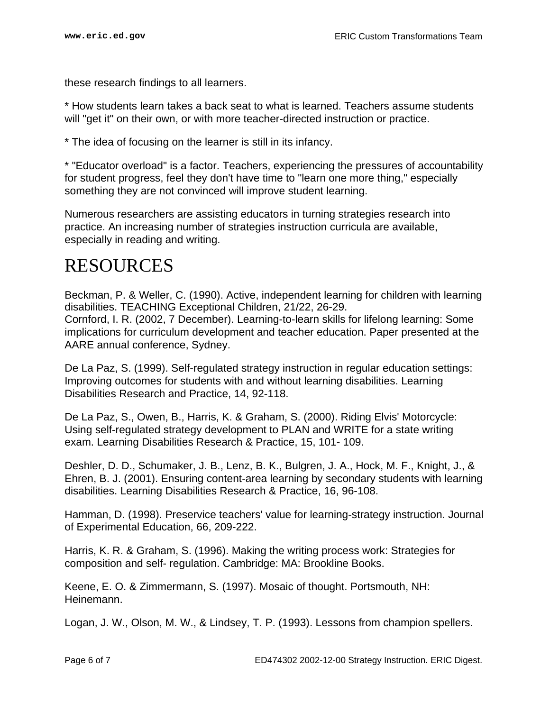these research findings to all learners.

\* How students learn takes a back seat to what is learned. Teachers assume students will "get it" on their own, or with more teacher-directed instruction or practice.

\* The idea of focusing on the learner is still in its infancy.

\* "Educator overload" is a factor. Teachers, experiencing the pressures of accountability for student progress, feel they don't have time to "learn one more thing," especially something they are not convinced will improve student learning.

Numerous researchers are assisting educators in turning strategies research into practice. An increasing number of strategies instruction curricula are available, especially in reading and writing.

#### <span id="page-5-0"></span>RESOURCES

Beckman, P. & Weller, C. (1990). Active, independent learning for children with learning disabilities. TEACHING Exceptional Children, 21/22, 26-29. Cornford, I. R. (2002, 7 December). Learning-to-learn skills for lifelong learning: Some implications for curriculum development and teacher education. Paper presented at the AARE annual conference, Sydney.

De La Paz, S. (1999). Self-regulated strategy instruction in regular education settings: Improving outcomes for students with and without learning disabilities. Learning Disabilities Research and Practice, 14, 92-118.

De La Paz, S., Owen, B., Harris, K. & Graham, S. (2000). Riding Elvis' Motorcycle: Using self-regulated strategy development to PLAN and WRITE for a state writing exam. Learning Disabilities Research & Practice, 15, 101- 109.

Deshler, D. D., Schumaker, J. B., Lenz, B. K., Bulgren, J. A., Hock, M. F., Knight, J., & Ehren, B. J. (2001). Ensuring content-area learning by secondary students with learning disabilities. Learning Disabilities Research & Practice, 16, 96-108.

Hamman, D. (1998). Preservice teachers' value for learning-strategy instruction. Journal of Experimental Education, 66, 209-222.

Harris, K. R. & Graham, S. (1996). Making the writing process work: Strategies for composition and self- regulation. Cambridge: MA: Brookline Books.

Keene, E. O. & Zimmermann, S. (1997). Mosaic of thought. Portsmouth, NH: Heinemann.

Logan, J. W., Olson, M. W., & Lindsey, T. P. (1993). Lessons from champion spellers.